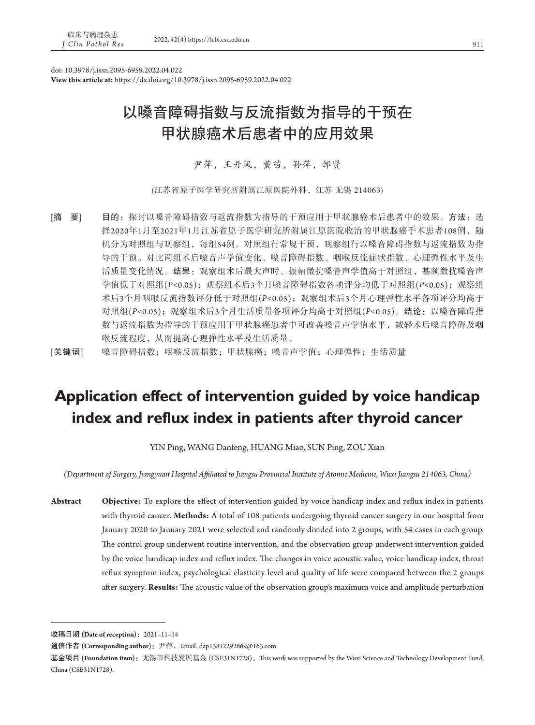doi: 10.3978/j.issn.2095-6959.2022.04.022

**View this article at:** https://dx.doi.org/10.3978/j.issn.2095-6959.2022.04.022

# 以嗓音障碍指数与反流指数为指导的干预在 甲状腺癌术后患者中的应用效果

尹萍,王丹凤,黄苗,孙萍,邹贤

(江苏省原子医学研究所附属江原医院外科,江苏 无锡 214063)

[摘 要] 目的: 探讨以嗓音障碍指数与返流指数为指导的干预应用于甲状腺癌术后患者中的效果。方法:选 择2020年1月至2021年1月江苏省原子医学研究所附属江原医院收治的甲状腺癌手术患者108例,随 机分为对照组与观察组,每组54例。对照组行常规干预,观察组行以嗓音障碍指数与返流指数为指 导的干预。对比两组术后嗓音声学值变化、嗓音障碍指数、咽喉反流症状指数、心理弹性水平及生 活质量变化情况。结果:观察组术后最大声时、振幅微扰嗓音声学值高于对照组,基频微扰嗓音声 学值低于对照组(*P<*0.05);观察组术后3个月嗓音障碍指数各项评分均低于对照组(*P<*0.05);观察组 术后3个月咽喉反流指数评分低于对照组(*P<*0.05);观察组术后3个月心理弹性水平各项评分均高于 对照组(*P<*0.05);观察组术后3个月生活质量各项评分均高于对照组(*P<*0.05)。结论:以嗓音障碍指 数与返流指数为指导的干预应用于甲状腺癌患者中可改善嗓音声学值水平,减轻术后嗓音障碍及咽 喉反流程度,从而提高心理弹性水平及生活质量。

[关键词] 嗓音障碍指数;咽喉反流指数;甲状腺癌;嗓音声学值;心理弹性;生活质量

# **Application effect of intervention guided by voice handicap index and reflux index in patients after thyroid cancer**

YIN Ping, WANG Danfeng, HUANG Miao, SUN Ping, ZOU Xian

*(Department of Surgery, Jiangyuan Hospital Affiliated to Jiangsu Provincial Institute of Atomic Medicine, Wuxi Jiangsu 214063, China)*

**Abstract Objective:** To explore the effect of intervention guided by voice handicap index and reflux index in patients with thyroid cancer. **Methods:** A total of 108 patients undergoing thyroid cancer surgery in our hospital from January 2020 to January 2021 were selected and randomly divided into 2 groups, with 54 cases in each group. The control group underwent routine intervention, and the observation group underwent intervention guided by the voice handicap index and reflux index. The changes in voice acoustic value, voice handicap index, throat reflux symptom index, psychological elasticity level and quality of life were compared between the 2 groups after surgery. **Results:** The acoustic value of the observation group's maximum voice and amplitude perturbation

收稿日期 **(Date of reception)**:2021–11–14

通信作者 (Corresponding author): 尹萍, Email: dap13812292669@163.com

基金项目 (Foundation item): 无锡市科技发展基金 (CSE31N1728)。This work was supported by the Wuxi Science and Technology Development Fund, China (CSE31N1728).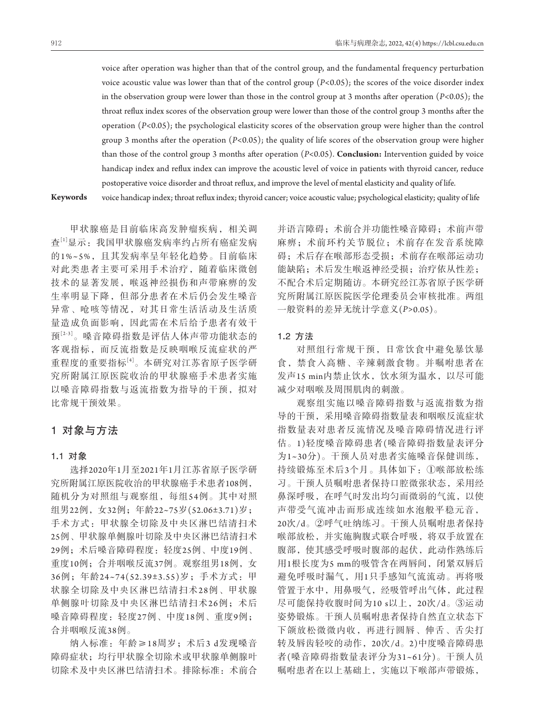voice after operation was higher than that of the control group, and the fundamental frequency perturbation voice acoustic value was lower than that of the control group (*P<*0.05); the scores of the voice disorder index in the observation group were lower than those in the control group at 3 months after operation (*P<*0.05); the throat reflux index scores of the observation group were lower than those of the control group 3 months after the operation (*P<*0.05); the psychological elasticity scores of the observation group were higher than the control group 3 months after the operation (*P<*0.05); the quality of life scores of the observation group were higher than those of the control group 3 months after operation (*P<*0.05). **Conclusion:** Intervention guided by voice handicap index and reflux index can improve the acoustic level of voice in patients with thyroid cancer, reduce postoperative voice disorder and throat reflux, and improve the level of mental elasticity and quality of life.

**Keywords** voice handicap index; throat reflux index; thyroid cancer; voice acoustic value; psychological elasticity; quality of life

甲状腺癌是目前临床高发肿瘤疾病,相关调 查[1]显示:我国甲状腺癌发病率约占所有癌症发病 的1%~5%,且其发病率呈年轻化趋势。目前临床 对此类患者主要可采用手术治疗,随着临床微创 技术的显著发展,喉返神经损伤和声带麻痹的发 生率明显下降,但部分患者在术后仍会发生嗓音 异常、呛咳等情况,对其日常生活活动及生活质 量造成负面影响,因此需在术后给予患者有效干 预[2-3]。嗓音障碍指数是评估人体声带功能状态的 客观指标,而反流指数是反映咽喉反流症状的严 重程度的重要指标[4]。本研究对江苏省原子医学研 究所附属江原医院收治的甲状腺癌手术患者实施 以嗓音障碍指数与返流指数为指导的干预,拟对 比常规干预效果。

# 1对象与方法

## 1**.**1对象

选择2020年1月至2021年1月江苏省原子医学研 究所附属江原医院收治的甲状腺癌手术患者108例, 随机分为对照组与观察组,每组54例。其中对照 组男22例,女32例;年龄22~75岁(52.06±3.71)岁; 手术方式:甲状腺全切除及中央区淋巴结清扫术 25例、甲状腺单侧腺叶切除及中央区淋巴结清扫术 29例;术后嗓音障碍程度:轻度25例、中度19例、 重度10例;合并咽喉反流37例。观察组男18例,女 36例;年龄24~74(52.39±3.55)岁;手术方式:甲 状腺全切除及中央区淋巴结清扫术28例、甲状腺 单侧腺叶切除及中央区淋巴结清扫术26例;术后 嗓音障碍程度:轻度27例、中度18例、重度9例; 合并咽喉反流38例。

纳入标准:年龄≥18周岁;术后3 d发现嗓音 障碍症状;均行甲状腺全切除术或甲状腺单侧腺叶 切除术及中央区淋巴结清扫术。排除标准:术前合 并语言障碍;术前合并功能性嗓音障碍;术前声带 麻痹:术前环杓关节脱位;术前存在发音系统障 碍;术后存在喉部形态受损;术前存在喉部运动功 能缺陷;术后发生喉返神经受损;治疗依从性差; 不配合术后定期随访。本研究经江苏省原子医学研 究所附属江原医院医学伦理委员会审核批准。两组 一般资料的差异无统计学意义(*P>*0.05)。

## 1**.**2方法

对照组行常规干预,日常饮食中避免暴饮暴 食,禁食入高糖、辛辣刺激食物。并嘱咐患者在 发声15 min内禁止饮水,饮水须为温水,以尽可能 减少对咽喉及周围肌肉的刺激。

观察组实施以嗓音障碍指数与返流指数为指 导的干预,采用嗓音障碍指数量表和咽喉反流症状 指数量表对患者反流情况及嗓音障碍情况进行评 估。1)轻度嗓音障碍患者(嗓音障碍指数量表评分 为1~30分)。干预人员对患者实施嗓音保健训练, 持续锻炼至术后3个月。具体如下:①喉部放松练 习。干预人员嘱咐患者保持口腔微张状态,采用经 鼻深呼吸,在呼气时发出均匀而微弱的气流,以使 声带受气流冲击而形成连续如水泡般平稳元音, 20次/d。②呼气吐纳练习。干预人员嘱咐患者保持 喉部放松,并实施胸腹式联合呼吸,将双手放置在 腹部,使其感受呼吸时腹部的起伏,此动作熟练后 用1根长度为5 mm的吸管含在两唇间, 闭紧双唇后 避免呼吸时漏气,用1只手感知气流流动。再将吸 管置于水中,用鼻吸气,经吸管呼出气体,此过程 尽可能保持收腹时间为10 s以上,20次/d。③运动 姿势锻炼。干预人员嘱咐患者保持自然直立状态下 下颌放松微微内收,再进行圆唇、伸舌、舌尖打 转及唇齿轻咬的动作,20次/d。2)中度嗓音障碍患 者(嗓音障碍指数量表评分为31~61分)。干预人员 嘱咐患者在以上基础上,实施以下喉部声带锻炼,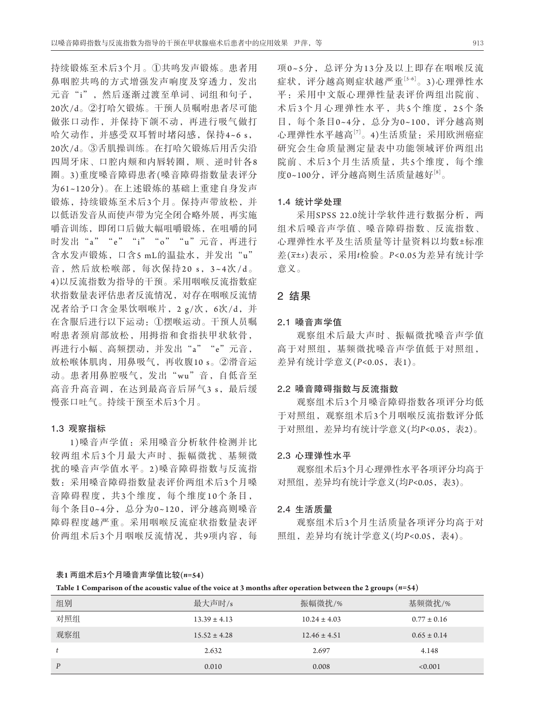持续锻炼至术后3个月。①共鸣发声锻炼。患者用 鼻咽腔共鸣的方式增强发声响度及穿透力,发出 元音"i",然后逐渐过渡至单词、词组和句子, 20次/d。②打哈欠锻炼。干预人员嘱咐患者尽可能 做张口动作,并保持下颌不动,再进行吸气做打 哈欠动作,并感受双耳暂时堵闷感,保持4~6 s, 20次/d。③舌肌操训练。在打哈欠锻炼后用舌尖沿 四周牙床、口腔内颊和内唇转圈,顺、逆时针各8 圈。3)重度嗓音障碍患者(嗓音障碍指数量表评分 为61~120分)。在上述锻炼的基础上重建自身发声 锻炼,持续锻炼至术后3个月。保持声带放松,并 以低语发音从而使声带为完全闭合略外展,再实施 嚼音训练,即闭口后做大幅咀嚼锻炼,在咀嚼的同 时发出"a""e""i""o""u"元音,再进行 含水发声锻炼,口含5 mL的温盐水,并发出"u" 音, 然后放松喉部, 每次保持20 s, 3~4次/d。 4)以反流指数为指导的干预。采用咽喉反流指数症 状指数量表评估患者反流情况,对存在咽喉反流情 况者给予口含金果饮咽喉片,2 g/次,6次/d,并 在含服后进行以下运动:①摆喉运动。干预人员嘱 咐患者颈肩部放松,用拇指和食指扶甲状软骨, 再进行小幅、高频摆动,并发出"a""e"元音, 放松喉体肌肉,用鼻吸气,再收腹10 s。②滑音运 动。患者用鼻腔吸气,发出"wu"音,自低音至 高音升高音调, 在达到最高音后屏气3 s, 最后缓 慢张口吐气。持续干预至术后3个月。

# 1**.**3观察指标

1 )嗓音声学值:采用嗓音分析软件检测并比 较两组术后3个月最大声时、振幅微扰、基频微 扰的嗓音声学值水平。2 )嗓音障碍指数与反流指 数:采用嗓音障碍指数量表评价两组术后3个月嗓 音障碍程度,共3个维度,每个维度10个条目, 每个条目0~4分,总分为0~120,评分越高则嗓音 障碍程度越严重。采用咽喉反流症状指数量表评 价两组术后3个月咽喉反流情况,共9项内容,每 项0~5分,总评分为13分及以上即存在咽喉反流 症状,评分越高则症状越严重[5-6]。3)心理弹性水 平:采用中文版心理弹性量表评价两组出院前、 术后3个月心理弹性水平,共5个维度,25个条 目,每个条目0~4分,总分为0~100,评分越高则 心理弹性水平越高[7]。4)生活质量:采用欧洲癌症 研究会生命质量测定量表中功能领域评价两组出 院前、术后3个月生活质量,共5个维度,每个维 度0~100分,评分越高则生活质量越好[8]。

# 1**.**4统计学处理

采用SPSS 22.0统计学软件进行数据分析, 两 组术后嗓音声学值、嗓音障碍指数、反流指数、 心理弹性水平及生活质量等计量资料以均数±标准 差(*x*±*s*)表示,采用*t*检验。*P<*0.05为差异有统计学 意义。

# 2结果

### 2**.**1嗓音声学值

观察组术后最大声时、振幅微扰嗓音声学值 高于对照组,基频微扰嗓音声学值低于对照组, 差异有统计学意义(*P<*0.05,表1)。

#### 2**.**2嗓音障碍指数与反流指数

观察组术后3个月嗓音障碍指数各项评分均低 于对照组,观察组术后3个月咽喉反流指数评分低 于对照组,差异均有统计学意义(均*P<*0.05,表2)。

#### 2**.**3心理弹性水平

观察组术后3个月心理弹性水平各项评分均高于 对照组,差异均有统计学意义(均*P<*0.05,表3)。

## 2**.**4生活质量

观察组术后3个月生活质量各项评分均高于对 照组,差异均有统计学意义(均*P<*0.05,表4)。

表**1** 两组术后**3**个月嗓音声学值比较**(***n=***54)**

**Table 1 Comparison of the acoustic value of the voice at 3 months after operation between the 2 groups (***n=***54)**

| 组别               | 最大声时/s           | 振幅微扰/%           | 基频微扰/%          |
|------------------|------------------|------------------|-----------------|
| 对照组              | $13.39 \pm 4.13$ | $10.24 \pm 4.03$ | $0.77 \pm 0.16$ |
| 观察组              | $15.52 \pm 4.28$ | $12.46 \pm 4.51$ | $0.65 \pm 0.14$ |
|                  | 2.632            | 2.697            | 4.148           |
| $\boldsymbol{P}$ | 0.010            | 0.008            | < 0.001         |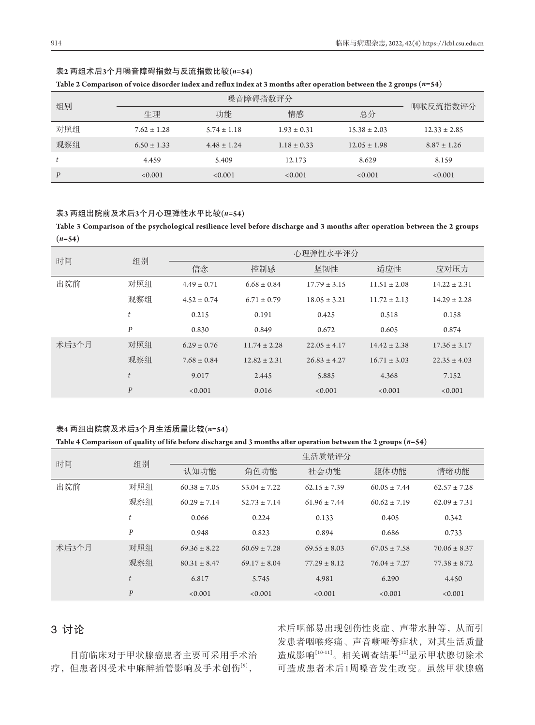| ۹ |  |
|---|--|

# 表**2** 两组术后**3**个月嗓音障碍指数与反流指数比较**(***n=***54)**

|  | Table 2 Comparison of voice disorder index and reflux index at 3 months after operation between the 2 groups ( $\it n$ =54) |  |
|--|-----------------------------------------------------------------------------------------------------------------------------|--|
|--|-----------------------------------------------------------------------------------------------------------------------------|--|

| 组别  |                 |                 |                 |                  |                  |
|-----|-----------------|-----------------|-----------------|------------------|------------------|
|     | 牛理              | 功能              | 情感              | 总分               | 咽喉反流指数评分         |
| 对照组 | $7.62 \pm 1.28$ | $5.74 \pm 1.18$ | $1.93 \pm 0.31$ | $15.38 \pm 2.03$ | $12.33 \pm 2.85$ |
| 观察组 | $6.50 \pm 1.33$ | $4.48 \pm 1.24$ | $1.18 \pm 0.33$ | $12.05 \pm 1.98$ | $8.87 \pm 1.26$  |
| t   | 4.459           | 5.409           | 12.173          | 8.629            | 8.159            |
| P   | < 0.001         | < 0.001         | < 0.001         | < 0.001          | < 0.001          |

## 表**3** 两组出院前及术后**3**个月心理弹性水平比较**(***n=***54)**

**Table 3 Comparison of the psychological resilience level before discharge and 3 months after operation between the 2 groups (***n=***54)**

| 时间    | 组别               |                 |                  | 心理弹性水平评分         |                  |                  |
|-------|------------------|-----------------|------------------|------------------|------------------|------------------|
|       |                  | 信念              | 控制感              | 坚韧性              | 适应性              | 应对压力             |
| 出院前   | 对照组              | $4.49 \pm 0.71$ | $6.68 \pm 0.84$  | $17.79 \pm 3.15$ | $11.51 \pm 2.08$ | $14.22 \pm 2.31$ |
|       | 观察组              | $4.52 \pm 0.74$ | $6.71 \pm 0.79$  | $18.05 \pm 3.21$ | $11.72 \pm 2.13$ | $14.29 \pm 2.28$ |
|       | t                | 0.215           | 0.191            | 0.425            | 0.518            | 0.158            |
|       | P                | 0.830           | 0.849            | 0.672            | 0.605            | 0.874            |
| 术后3个月 | 对照组              | $6.29 \pm 0.76$ | $11.74 \pm 2.28$ | $22.05 \pm 4.17$ | $14.42 \pm 2.38$ | $17.36 \pm 3.17$ |
|       | 观察组              | $7.68 \pm 0.84$ | $12.82 \pm 2.31$ | $26.83 \pm 4.27$ | $16.71 \pm 3.03$ | $22.35 \pm 4.03$ |
|       | t                | 9.017           | 2.445            | 5.885            | 4.368            | 7.152            |
|       | $\boldsymbol{P}$ | < 0.001         | 0.016            | < 0.001          | < 0.001          | < 0.001          |

# 表**4** 两组出院前及术后**3**个月生活质量比较**(***n=***54)**

#### **Table 4 Comparison of quality of life before discharge and 3 months after operation between the 2 groups (***n=***54)**

| 时间    | 组别               |                  |                  | 生活质量评分           |                  |                  |
|-------|------------------|------------------|------------------|------------------|------------------|------------------|
|       |                  | 认知功能             | 角色功能             | 社会功能             | 躯体功能             | 情绪功能             |
| 出院前   | 对照组              | $60.38 \pm 7.05$ | $53.04 \pm 7.22$ | $62.15 \pm 7.39$ | $60.05 \pm 7.44$ | $62.57 \pm 7.28$ |
|       | 观察组              | $60.29 \pm 7.14$ | $52.73 \pm 7.14$ | $61.96 \pm 7.44$ | $60.62 \pm 7.19$ | $62.09 \pm 7.31$ |
|       | t                | 0.066            | 0.224            | 0.133            | 0.405            | 0.342            |
|       | P                | 0.948            | 0.823            | 0.894            | 0.686            | 0.733            |
| 术后3个月 | 对照组              | $69.36 \pm 8.22$ | $60.69 \pm 7.28$ | $69.55 \pm 8.03$ | $67.05 \pm 7.58$ | $70.06 \pm 8.37$ |
|       | 观察组              | $80.31 \pm 8.47$ | $69.17 \pm 8.04$ | $77.29 \pm 8.12$ | $76.04 \pm 7.27$ | $77.38 \pm 8.72$ |
|       | t                | 6.817            | 5.745            | 4.981            | 6.290            | 4.450            |
|       | $\boldsymbol{P}$ | < 0.001          | < 0.001          | < 0.001          | < 0.001          | < 0.001          |

# 3讨论

目前临床对于甲状腺癌患者主要可采用手术治 疗,但患者因受术中麻醉插管影响及手术创伤[9],

术后咽部易出现创伤性炎症、声带水肿等,从而引 发患者咽喉疼痛、声音嘶哑等症状,对其生活质量 造成影响[10-11]。相关调查结果[12]显示甲状腺切除术 可造成患者术后1周嗓音发生改变。虽然甲状腺癌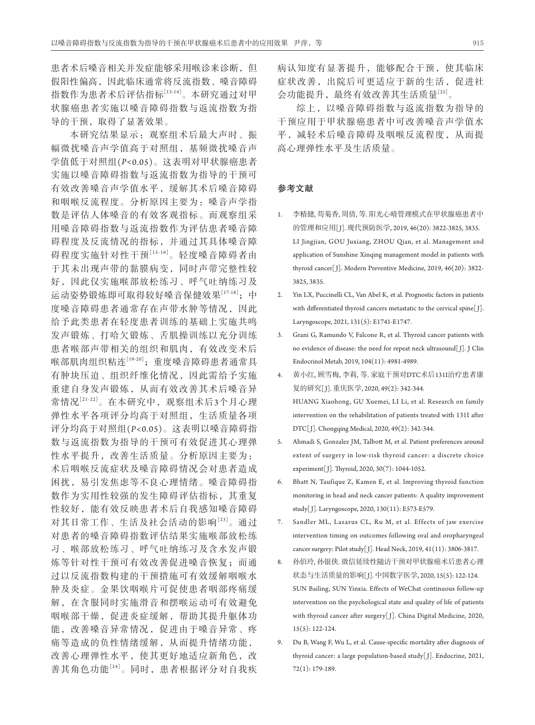患者术后嗓音相关并发症能够采用喉诊来诊断,但 假阳性偏高,因此临床通常将反流指数、嗓音障碍 指数作为患者术后评估指标[13-14]。本研究通过对甲 状腺癌患者实施以嗓音障碍指数与返流指数为指 导的干预,取得了显著效果。

本研究结果显示:观察组术后最大声时、振 幅微扰嗓音声学值高于对照组,基频微扰嗓音声 学值低于对照组(*P<*0.05)。这表明对甲状腺癌患者 实施以嗓音障碍指数与返流指数为指导的干预可 有效改善嗓音声学值水平,缓解其术后嗓音障碍 和咽喉反流程度。分析原因主要为:嗓音声学指 数是评估人体嗓音的有效客观指标。而观察组采 用嗓音障碍指数与返流指数作为评估患者嗓音障 碍程度及反流情况的指标,并通过其具体嗓音障 碍程度实施针对性干预[15-16]。轻度嗓音障碍者由 于其未出现声带的黏膜病变,同时声带完整性较 好,因此仅实施喉部放松练习、呼气吐纳练习及 运动姿势锻炼即可取得较好嗓音保健效果[17-18];中 度嗓音障碍患者通常存在声带水肿等情况,因此 给予此类患者在轻度患者训练的基础上实施共鸣 发声锻炼、打哈欠锻炼、舌肌操训练以充分训练 患者喉部声带相关的组织和肌肉,有效改变术后 喉部肌肉组织粘连[19-20];重度嗓音障碍患者通常具 有肿块压迫、组织纤维化情况,因此需给予实施 重建自身发声锻炼,从而有效改善其术后嗓音异 常情况[21-22]。在本研究中,观察组术后3个月心理 弹性水平各项评分均高于对照组,生活质量各项 评分均高于对照组(*P<*0.05)。这表明以嗓音障碍指 数与返流指数为指导的干预可有效促进其心理弹 性水平提升,改善生活质量。分析原因主要为: 术后咽喉反流症状及嗓音障碍情况会对患者造成 困扰,易引发焦虑等不良心理情绪。嗓音障碍指 数作为实用性较强的发生障碍评估指标,其重复 性较好,能有效反映患者术后自我感知嗓音障碍 对其日常工作、生活及社会活动的影响[23]。通过 对患者的嗓音障碍指数评估结果实施喉部放松练 习、喉部放松练习、呼气吐纳练习及含水发声锻 炼等针对性干预可有效改善促进嗓音恢复;而通 过以反流指数构建的干预措施可有效缓解咽喉水 肿及炎症。金果饮咽喉片可促使患者咽部疼痛缓 解,在含服同时实施滑音和摆喉运动可有效避免 咽喉部干燥,促进炎症缓解,帮助其提升躯体功 能,改善嗓音异常情况,促进由于嗓音异常、疼 痛等造成的负性情绪缓解,从而提升情绪功能, 改善心理弹性水平,使其更好地适应新角色,改 善其角色功能[24]。同时,患者根据评分对自我疾

病认知度有显著提升,能够配合干预,使其临床 症状改善,出院后可更适应于新的生活,促进社 会功能提升,最终有效改善其生活质量[25]。

综上,以嗓音障碍指数与返流指数为指导的 干预应用于甲状腺癌患者中可改善嗓音声学值水 平,减轻术后嗓音障碍及咽喉反流程度,从而提 高心理弹性水平及生活质量。

# 参考文献

- 1. 李精健, 苟菊香, 周倩, 等. 阳光心晴管理模式在甲状腺癌患者中 的管理和应用[ J]. 现代预防医学, 2019, 46(20): 3822-3825, 3835. LI Jingjian, GOU Juxiang, ZHOU Qian, et al. Management and application of Sunshine Xinqing management model in patients with thyroid cancer[ J]. Modern Preventive Medicine, 2019, 46(20): 3822- 3825, 3835.
- 2. Yin LX, Puccinelli CL, Van Abel K, et al. Prognostic factors in patients with differentiated thyroid cancers metastatic to the cervical spine[J]. Laryngoscope, 2021, 131(5): E1741-E1747.
- 3. Grani G, Ramundo V, Falcone R, et al. Thyroid cancer patients with no evidence of disease: the need for repeat neck ultrasound[ J]. J Clin Endocrinol Metab, 2019, 104(11): 4981-4989.
- 4. 黄小红, 顾雪梅, 李莉, 等. 家庭干预对DTC术后131I治疗患者康 复的研究[J]. 重庆医学, 2020, 49(2): 342-344. HUANG Xiaohong, GU Xuemei, LI Li, et al. Research on family intervention on the rehabilitation of patients treated with 131I after DTC[J]. Chongqing Medical, 2020, 49(2): 342-344.
- 5. Ahmadi S, Gonzalez JM, Talbott M, et al. Patient preferences around extent of surgery in low-risk thyroid cancer: a discrete choice experiment[ J]. Thyroid, 2020, 30(7): 1044-1052.
- 6. Bhatt N, Taufique Z, Kamen E, et al. Improving thyroid function monitoring in head and neck cancer patients: A quality improvement study[ J]. Laryngoscope, 2020, 130(11): E573-E579.
- 7. Sandler ML, Lazarus CL, Ru M, et al. Effects of jaw exercise intervention timing on outcomes following oral and oropharyngeal cancer surgery: Pilot study[ J]. Head Neck, 2019, 41(11): 3806-3817.
- 8. 孙佰玲, 孙银侠. 微信延续性随访干预对甲状腺癌术后患者心理 状态与生活质量的影响[ J]. 中国数字医学, 2020, 15(5): 122-124. SUN Bailing, SUN Yinxia. Effects of WeChat continuous follow-up intervention on the psychological state and quality of life of patients with thyroid cancer after surgery[J]. China Digital Medicine, 2020, 15(5): 122-124.
- 9. Du B, Wang F, Wu L, et al. Cause-specific mortality after diagnosis of thyroid cancer: a large population-based study[ J]. Endocrine, 2021, 72(1): 179-189.